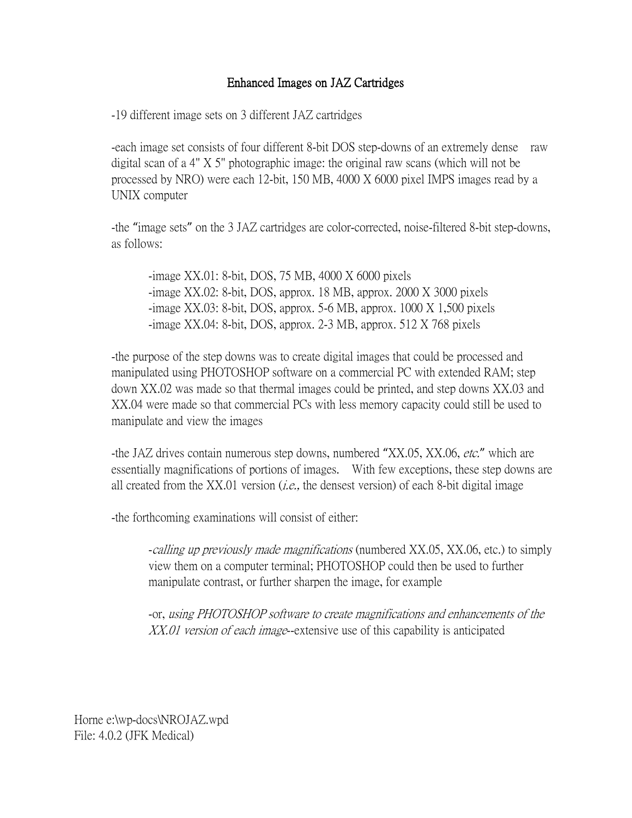## Enhanced Images on JAZ Cartridges

-19 different image sets on 3 different JAZ cartridges

-each image set consists of four different 8-bit DOS step-downs of an extremely dense raw digital scan of a 4" X 5" photographic image: the original raw scans (which will not be processed by NRO) were each 12-bit, 150 MB, 4000 X 6000 pixel IMPS images read by a UNIX computer

-the "image sets" on the 3 JAZ cartridges are color-corrected, noise-filtered 8-bit step-downs, as follows:

-image XX.01: 8-bit, DOS, 75 MB, 4000 X 6000 pixels -image XX.02: 8-bit, DOS, approx. 18 MB, approx. 2000 X 3000 pixels -image XX.03: 8-bit, DOS, approx. 5-6 MB, approx. 1000 X 1,500 pixels -image XX.04: 8-bit, DOS, approx. 2-3 MB, approx. 512 X 768 pixels

-the purpose of the step downs was to create digital images that could be processed and manipulated using PHOTOSHOP software on a commercial PC with extended RAM; step down XX.02 was made so that thermal images could be printed, and step downs XX.03 and XX.04 were made so that commercial PCs with less memory capacity could still be used to manipulate and view the images

-the JAZ drives contain numerous step downs, numbered "XX.05, XX.06, etc." which are essentially magnifications of portions of images. With few exceptions, these step downs are all created from the XX.01 version (*i.e.*, the densest version) of each 8-bit digital image

-the forthcoming examinations will consist of either:

-calling up previously made magnifications (numbered XX.05, XX.06, etc.) to simply view them on a computer terminal; PHOTOSHOP could then be used to further manipulate contrast, or further sharpen the image, for example

-or, using PHOTOSHOP software to create magnifications and enhancements of the XX.01 version of each image-extensive use of this capability is anticipated

Horne e:\wp-docs\NROJAZ.wpd File: 4.0.2 (JFK Medical)